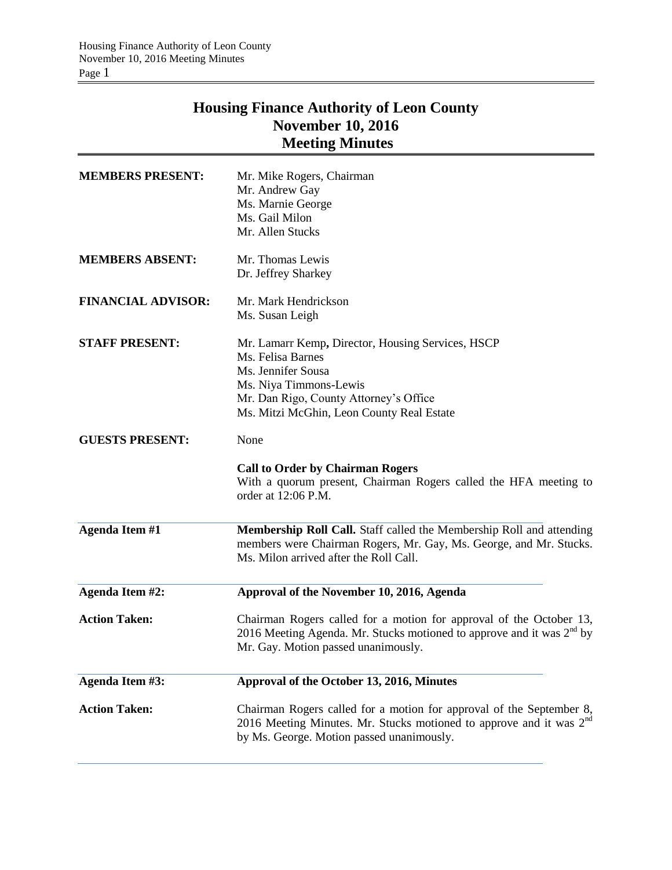# **Housing Finance Authority of Leon County November 10, 2016 Meeting Minutes**

| <b>MEMBERS PRESENT:</b>   | Mr. Mike Rogers, Chairman<br>Mr. Andrew Gay<br>Ms. Marnie George<br>Ms. Gail Milon<br>Mr. Allen Stucks                                                                                                        |  |  |  |
|---------------------------|---------------------------------------------------------------------------------------------------------------------------------------------------------------------------------------------------------------|--|--|--|
| <b>MEMBERS ABSENT:</b>    | Mr. Thomas Lewis<br>Dr. Jeffrey Sharkey                                                                                                                                                                       |  |  |  |
| <b>FINANCIAL ADVISOR:</b> | Mr. Mark Hendrickson<br>Ms. Susan Leigh                                                                                                                                                                       |  |  |  |
| <b>STAFF PRESENT:</b>     | Mr. Lamarr Kemp, Director, Housing Services, HSCP<br>Ms. Felisa Barnes<br>Ms. Jennifer Sousa<br>Ms. Niya Timmons-Lewis<br>Mr. Dan Rigo, County Attorney's Office<br>Ms. Mitzi McGhin, Leon County Real Estate |  |  |  |
| <b>GUESTS PRESENT:</b>    | None<br><b>Call to Order by Chairman Rogers</b><br>With a quorum present, Chairman Rogers called the HFA meeting to<br>order at 12:06 P.M.                                                                    |  |  |  |
| <b>Agenda Item #1</b>     | Membership Roll Call. Staff called the Membership Roll and attending<br>members were Chairman Rogers, Mr. Gay, Ms. George, and Mr. Stucks.<br>Ms. Milon arrived after the Roll Call.                          |  |  |  |
| <b>Agenda Item #2:</b>    | Approval of the November 10, 2016, Agenda                                                                                                                                                                     |  |  |  |
| <b>Action Taken:</b>      | Chairman Rogers called for a motion for approval of the October 13,<br>2016 Meeting Agenda. Mr. Stucks motioned to approve and it was $2^{nd}$ by<br>Mr. Gay. Motion passed unanimously.                      |  |  |  |
| Agenda Item #3:           | Approval of the October 13, 2016, Minutes                                                                                                                                                                     |  |  |  |
| <b>Action Taken:</b>      | Chairman Rogers called for a motion for approval of the September 8,<br>2016 Meeting Minutes. Mr. Stucks motioned to approve and it was $2nd$<br>by Ms. George. Motion passed unanimously.                    |  |  |  |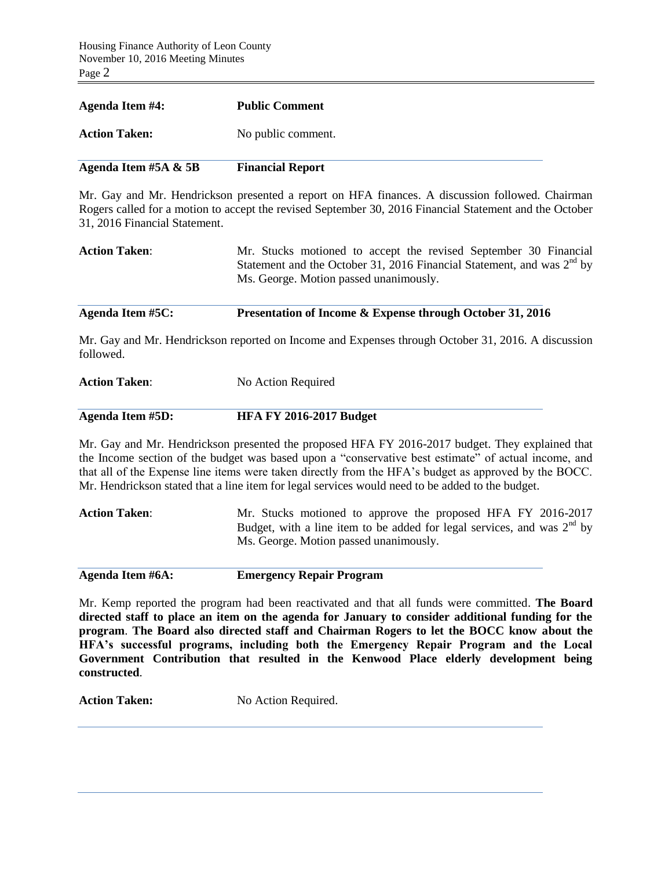| Agenda Item #5A $\&$ 5B | <b>Financial Report</b> |
|-------------------------|-------------------------|
| <b>Action Taken:</b>    | No public comment.      |
| <b>Agenda Item #4:</b>  | <b>Public Comment</b>   |

Mr. Gay and Mr. Hendrickson presented a report on HFA finances. A discussion followed. Chairman Rogers called for a motion to accept the revised September 30, 2016 Financial Statement and the October 31, 2016 Financial Statement.

| <b>Action Taken:</b> | Mr. Stucks motioned to accept the revised September 30 Financial         |
|----------------------|--------------------------------------------------------------------------|
|                      | Statement and the October 31, 2016 Financial Statement, and was $2nd$ by |
|                      | Ms. George. Motion passed unanimously.                                   |

### **Agenda Item #5C: Presentation of Income & Expense through October 31, 2016**

Mr. Gay and Mr. Hendrickson reported on Income and Expenses through October 31, 2016. A discussion followed.

# **Action Taken:** No Action Required

### **Agenda Item #5D: HFA FY 2016-2017 Budget**

Mr. Gay and Mr. Hendrickson presented the proposed HFA FY 2016-2017 budget. They explained that the Income section of the budget was based upon a "conservative best estimate" of actual income, and that all of the Expense line items were taken directly from the HFA's budget as approved by the BOCC. Mr. Hendrickson stated that a line item for legal services would need to be added to the budget.

**Action Taken**: Mr. Stucks motioned to approve the proposed HFA FY 2016-2017 Budget, with a line item to be added for legal services, and was  $2<sup>nd</sup>$  by Ms. George. Motion passed unanimously.

**Agenda Item #6A: Emergency Repair Program**

Mr. Kemp reported the program had been reactivated and that all funds were committed. **The Board directed staff to place an item on the agenda for January to consider additional funding for the program**. **The Board also directed staff and Chairman Rogers to let the BOCC know about the HFA's successful programs, including both the Emergency Repair Program and the Local Government Contribution that resulted in the Kenwood Place elderly development being constructed**.

Action Taken: No Action Required.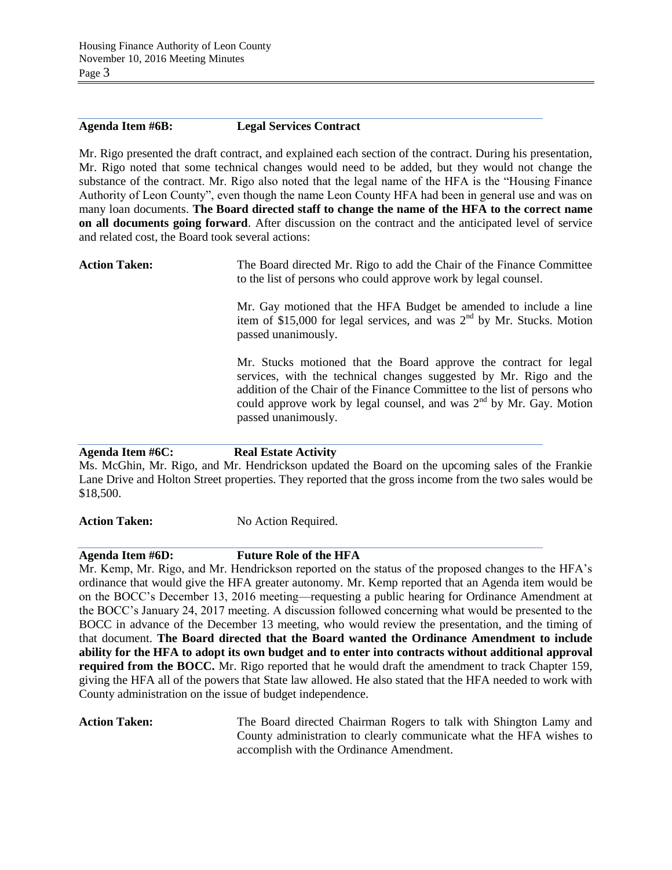### **Agenda Item #6B: Legal Services Contract**

Mr. Rigo presented the draft contract, and explained each section of the contract. During his presentation, Mr. Rigo noted that some technical changes would need to be added, but they would not change the substance of the contract. Mr. Rigo also noted that the legal name of the HFA is the "Housing Finance Authority of Leon County", even though the name Leon County HFA had been in general use and was on many loan documents. **The Board directed staff to change the name of the HFA to the correct name on all documents going forward**. After discussion on the contract and the anticipated level of service and related cost, the Board took several actions:

**Action Taken:** The Board directed Mr. Rigo to add the Chair of the Finance Committee to the list of persons who could approve work by legal counsel.

> Mr. Gay motioned that the HFA Budget be amended to include a line item of \$15,000 for legal services, and was 2<sup>nd</sup> by Mr. Stucks. Motion passed unanimously.

> Mr. Stucks motioned that the Board approve the contract for legal services, with the technical changes suggested by Mr. Rigo and the addition of the Chair of the Finance Committee to the list of persons who could approve work by legal counsel, and was  $2<sup>nd</sup>$  by Mr. Gay. Motion passed unanimously.

### **Agenda Item #6C: Real Estate Activity**

Ms. McGhin, Mr. Rigo, and Mr. Hendrickson updated the Board on the upcoming sales of the Frankie Lane Drive and Holton Street properties. They reported that the gross income from the two sales would be \$18,500.

Action Taken: No Action Required.

# **Agenda Item #6D: Future Role of the HFA**

Mr. Kemp, Mr. Rigo, and Mr. Hendrickson reported on the status of the proposed changes to the HFA's ordinance that would give the HFA greater autonomy. Mr. Kemp reported that an Agenda item would be on the BOCC's December 13, 2016 meeting—requesting a public hearing for Ordinance Amendment at the BOCC's January 24, 2017 meeting. A discussion followed concerning what would be presented to the BOCC in advance of the December 13 meeting, who would review the presentation, and the timing of that document. **The Board directed that the Board wanted the Ordinance Amendment to include ability for the HFA to adopt its own budget and to enter into contracts without additional approval required from the BOCC.** Mr. Rigo reported that he would draft the amendment to track Chapter 159, giving the HFA all of the powers that State law allowed. He also stated that the HFA needed to work with County administration on the issue of budget independence.

Action Taken: The Board directed Chairman Rogers to talk with Shington Lamy and County administration to clearly communicate what the HFA wishes to accomplish with the Ordinance Amendment.